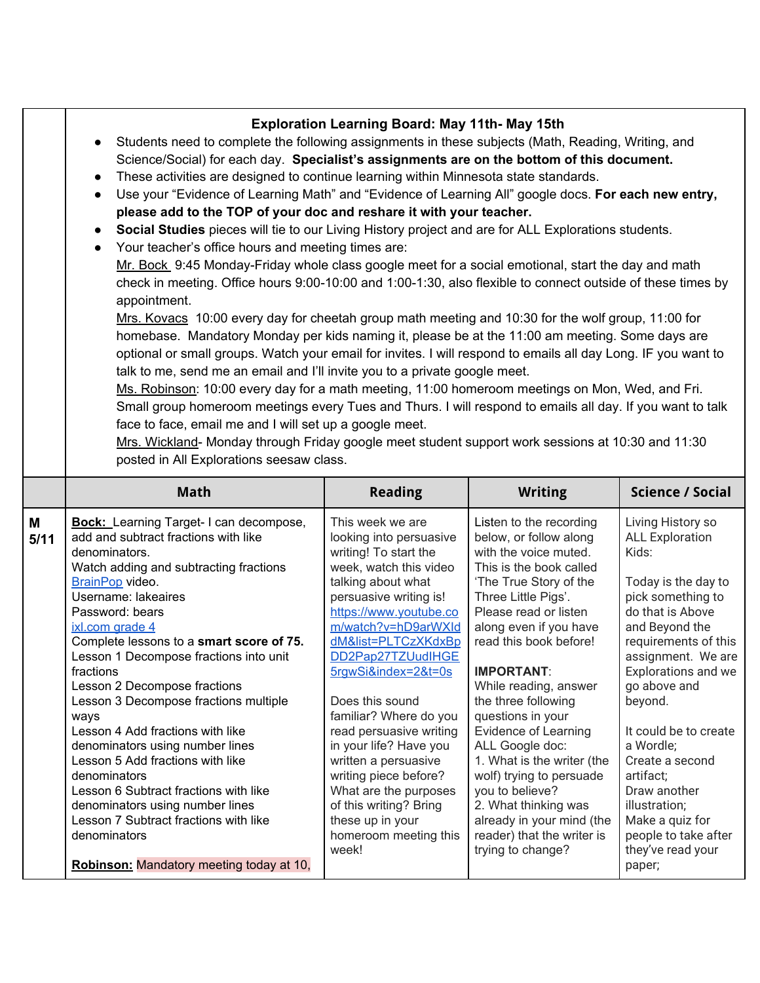|           | <b>Exploration Learning Board: May 11th- May 15th</b><br>Students need to complete the following assignments in these subjects (Math, Reading, Writing, and<br>$\bullet$<br>Science/Social) for each day. Specialist's assignments are on the bottom of this document.<br>These activities are designed to continue learning within Minnesota state standards.<br>$\bullet$<br>Use your "Evidence of Learning Math" and "Evidence of Learning All" google docs. For each new entry,<br>$\bullet$<br>please add to the TOP of your doc and reshare it with your teacher.<br>Social Studies pieces will tie to our Living History project and are for ALL Explorations students.<br>$\bullet$<br>Your teacher's office hours and meeting times are:<br>$\bullet$<br>Mr. Bock 9:45 Monday-Friday whole class google meet for a social emotional, start the day and math<br>check in meeting. Office hours 9:00-10:00 and 1:00-1:30, also flexible to connect outside of these times by<br>appointment.<br>Mrs. Kovacs 10:00 every day for cheetah group math meeting and 10:30 for the wolf group, 11:00 for<br>homebase. Mandatory Monday per kids naming it, please be at the 11:00 am meeting. Some days are<br>optional or small groups. Watch your email for invites. I will respond to emails all day Long. IF you want to<br>talk to me, send me an email and I'll invite you to a private google meet.<br>Ms. Robinson: 10:00 every day for a math meeting, 11:00 homeroom meetings on Mon, Wed, and Fri.<br>Small group homeroom meetings every Tues and Thurs. I will respond to emails all day. If you want to talk<br>face to face, email me and I will set up a google meet.<br>Mrs. Wickland- Monday through Friday google meet student support work sessions at 10:30 and 11:30<br>posted in All Explorations seesaw class. |                                                                                                                                                                                                                                                                                                                                                                                                                                                                                                                                |                                                                                                                                                                                                                                                                                                                                                                                                                                                                                                                                                                      |                                                                                                                                                                                                                                                                                                                                                                                                                         |
|-----------|-----------------------------------------------------------------------------------------------------------------------------------------------------------------------------------------------------------------------------------------------------------------------------------------------------------------------------------------------------------------------------------------------------------------------------------------------------------------------------------------------------------------------------------------------------------------------------------------------------------------------------------------------------------------------------------------------------------------------------------------------------------------------------------------------------------------------------------------------------------------------------------------------------------------------------------------------------------------------------------------------------------------------------------------------------------------------------------------------------------------------------------------------------------------------------------------------------------------------------------------------------------------------------------------------------------------------------------------------------------------------------------------------------------------------------------------------------------------------------------------------------------------------------------------------------------------------------------------------------------------------------------------------------------------------------------------------------------------------------------------------------------------------------------------------------------------------------------------|--------------------------------------------------------------------------------------------------------------------------------------------------------------------------------------------------------------------------------------------------------------------------------------------------------------------------------------------------------------------------------------------------------------------------------------------------------------------------------------------------------------------------------|----------------------------------------------------------------------------------------------------------------------------------------------------------------------------------------------------------------------------------------------------------------------------------------------------------------------------------------------------------------------------------------------------------------------------------------------------------------------------------------------------------------------------------------------------------------------|-------------------------------------------------------------------------------------------------------------------------------------------------------------------------------------------------------------------------------------------------------------------------------------------------------------------------------------------------------------------------------------------------------------------------|
|           | <b>Math</b>                                                                                                                                                                                                                                                                                                                                                                                                                                                                                                                                                                                                                                                                                                                                                                                                                                                                                                                                                                                                                                                                                                                                                                                                                                                                                                                                                                                                                                                                                                                                                                                                                                                                                                                                                                                                                             | <b>Reading</b>                                                                                                                                                                                                                                                                                                                                                                                                                                                                                                                 | <b>Writing</b>                                                                                                                                                                                                                                                                                                                                                                                                                                                                                                                                                       | <b>Science / Social</b>                                                                                                                                                                                                                                                                                                                                                                                                 |
| M<br>5/11 | <b>Bock:</b> Learning Target-I can decompose,<br>add and subtract fractions with like<br>denominators.<br>Watch adding and subtracting fractions<br>BrainPop video.<br>Username: lakeaires<br>Password: bears<br>ixl.com grade 4<br>Complete lessons to a smart score of 75.<br>Lesson 1 Decompose fractions into unit<br>fractions<br>Lesson 2 Decompose fractions<br>Lesson 3 Decompose fractions multiple<br>ways<br>Lesson 4 Add fractions with like<br>denominators using number lines<br>Lesson 5 Add fractions with like<br>denominators<br>Lesson 6 Subtract fractions with like<br>denominators using number lines<br>Lesson 7 Subtract fractions with like<br>denominators<br>Robinson: Mandatory meeting today at 10,                                                                                                                                                                                                                                                                                                                                                                                                                                                                                                                                                                                                                                                                                                                                                                                                                                                                                                                                                                                                                                                                                                        | This week we are<br>looking into persuasive<br>writing! To start the<br>week, watch this video<br>talking about what<br>persuasive writing is!<br>https://www.youtube.co<br>m/watch?v=hD9arWXId<br>dM&list=PLTCzXKdxBp<br>DD2Pap27TZUudIHGE<br>5rgwSi&index=2&t=0s<br>Does this sound<br>familiar? Where do you<br>read persuasive writing<br>in your life? Have you<br>written a persuasive<br>writing piece before?<br>What are the purposes<br>of this writing? Bring<br>these up in your<br>homeroom meeting this<br>week! | Listen to the recording<br>below, or follow along<br>with the voice muted.<br>This is the book called<br>'The True Story of the<br>Three Little Pigs'.<br>Please read or listen<br>along even if you have<br>read this book before!<br><b>IMPORTANT:</b><br>While reading, answer<br>the three following<br>questions in your<br><b>Evidence of Learning</b><br>ALL Google doc:<br>1. What is the writer (the<br>wolf) trying to persuade<br>you to believe?<br>2. What thinking was<br>already in your mind (the<br>reader) that the writer is<br>trying to change? | Living History so<br><b>ALL Exploration</b><br>Kids:<br>Today is the day to<br>pick something to<br>do that is Above<br>and Beyond the<br>requirements of this<br>assignment. We are<br>Explorations and we<br>go above and<br>beyond.<br>It could be to create<br>a Wordle;<br>Create a second<br>artifact;<br>Draw another<br>illustration;<br>Make a quiz for<br>people to take after<br>they've read your<br>paper; |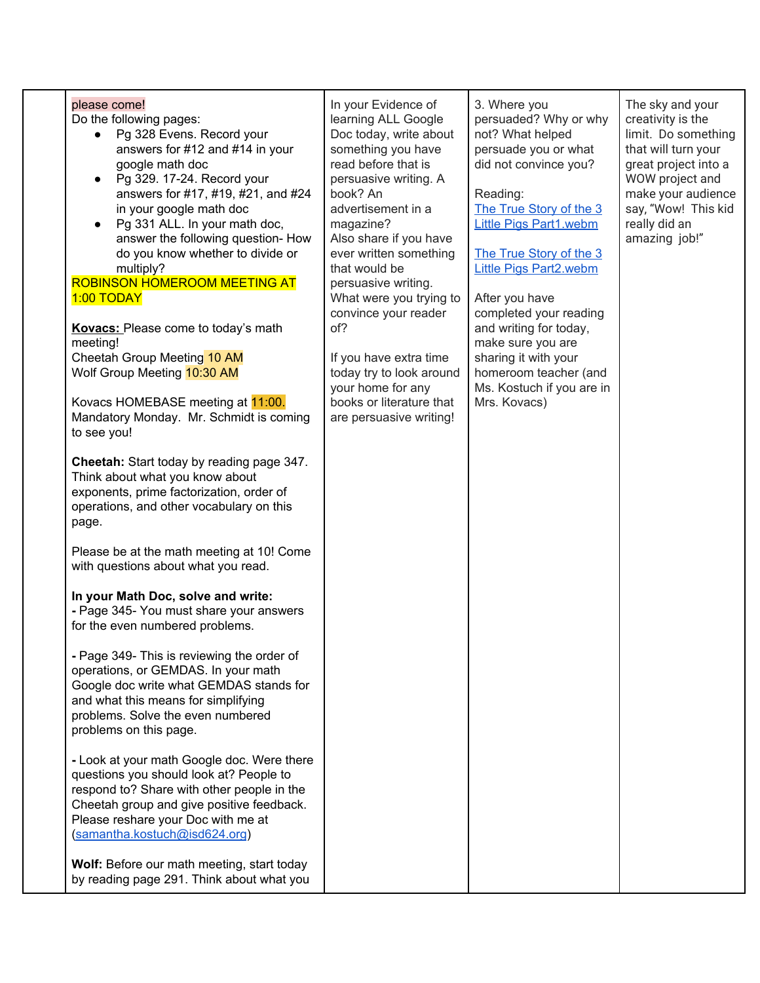| please come!<br>Do the following pages:<br>Pg 328 Evens. Record your<br>answers for #12 and #14 in your<br>google math doc<br>Pg 329. 17-24. Record your<br>answers for #17, #19, #21, and #24<br>in your google math doc<br>Pg 331 ALL. In your math doc,<br>answer the following question- How<br>do you know whether to divide or<br>multiply?<br>ROBINSON HOMEROOM MEETING AT<br>1:00 TODAY<br>Kovacs: Please come to today's math<br>meeting!<br>Cheetah Group Meeting 10 AM<br>Wolf Group Meeting 10:30 AM<br>Kovacs HOMEBASE meeting at 11:00.<br>Mandatory Monday. Mr. Schmidt is coming<br>to see you!<br><b>Cheetah:</b> Start today by reading page 347.<br>Think about what you know about<br>exponents, prime factorization, order of<br>operations, and other vocabulary on this<br>page.<br>Please be at the math meeting at 10! Come<br>with questions about what you read.<br>In your Math Doc, solve and write:<br>- Page 345- You must share your answers<br>for the even numbered problems.<br>- Page 349- This is reviewing the order of<br>operations, or GEMDAS. In your math<br>Google doc write what GEMDAS stands for<br>and what this means for simplifying<br>problems. Solve the even numbered<br>problems on this page.<br>- Look at your math Google doc. Were there<br>questions you should look at? People to<br>respond to? Share with other people in the<br>Cheetah group and give positive feedback.<br>Please reshare your Doc with me at<br>(samantha.kostuch@isd624.org)<br>Wolf: Before our math meeting, start today<br>by reading page 291. Think about what you | In your Evidence of<br>learning ALL Google<br>Doc today, write about<br>something you have<br>read before that is<br>persuasive writing. A<br>book? An<br>advertisement in a<br>magazine?<br>Also share if you have<br>ever written something<br>that would be<br>persuasive writing.<br>What were you trying to<br>convince your reader<br>of?<br>If you have extra time<br>today try to look around<br>your home for any<br>books or literature that<br>are persuasive writing! | 3. Where you<br>persuaded? Why or why<br>not? What helped<br>persuade you or what<br>did not convince you?<br>Reading:<br>The True Story of the 3<br><b>Little Pigs Part1.webm</b><br>The True Story of the 3<br><b>Little Pigs Part2.webm</b><br>After you have<br>completed your reading<br>and writing for today,<br>make sure you are<br>sharing it with your<br>homeroom teacher (and<br>Ms. Kostuch if you are in<br>Mrs. Kovacs) | The sky and your<br>creativity is the<br>limit. Do something<br>that will turn your<br>great project into a<br>WOW project and<br>make your audience<br>say, "Wow! This kid<br>really did an<br>amazing job!" |
|-------------------------------------------------------------------------------------------------------------------------------------------------------------------------------------------------------------------------------------------------------------------------------------------------------------------------------------------------------------------------------------------------------------------------------------------------------------------------------------------------------------------------------------------------------------------------------------------------------------------------------------------------------------------------------------------------------------------------------------------------------------------------------------------------------------------------------------------------------------------------------------------------------------------------------------------------------------------------------------------------------------------------------------------------------------------------------------------------------------------------------------------------------------------------------------------------------------------------------------------------------------------------------------------------------------------------------------------------------------------------------------------------------------------------------------------------------------------------------------------------------------------------------------------------------------------------------------------------------------|-----------------------------------------------------------------------------------------------------------------------------------------------------------------------------------------------------------------------------------------------------------------------------------------------------------------------------------------------------------------------------------------------------------------------------------------------------------------------------------|-----------------------------------------------------------------------------------------------------------------------------------------------------------------------------------------------------------------------------------------------------------------------------------------------------------------------------------------------------------------------------------------------------------------------------------------|---------------------------------------------------------------------------------------------------------------------------------------------------------------------------------------------------------------|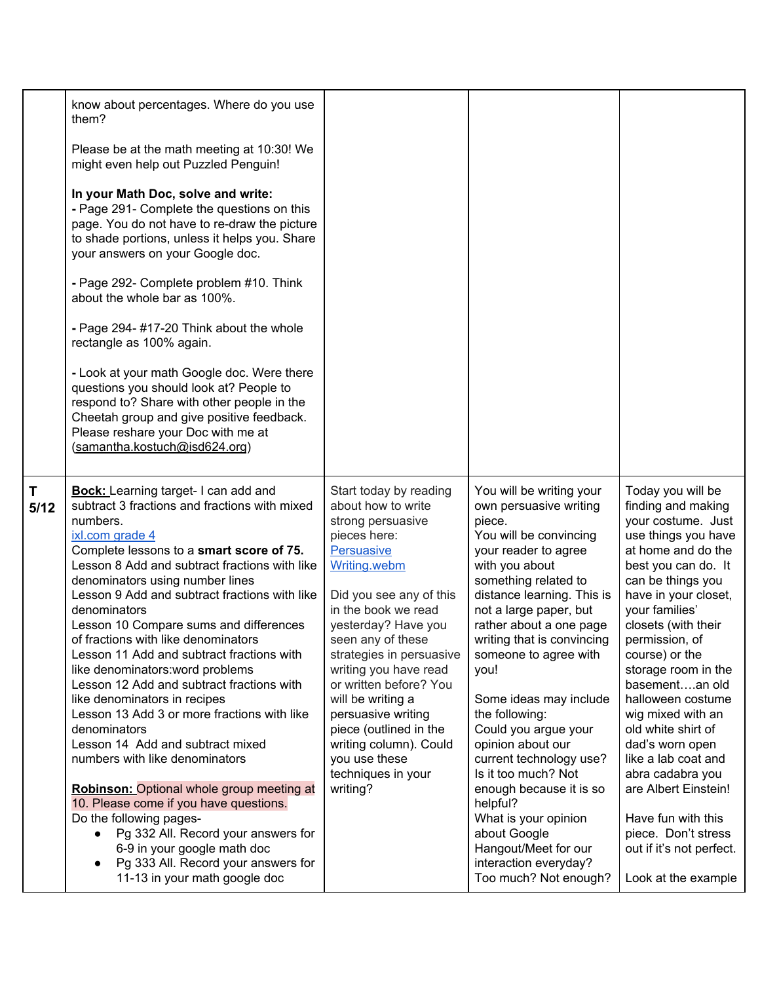|           | know about percentages. Where do you use                                                                                                                                                                                                                                                                                                                                                                                                                                                                                                                                                                                                                                                                                                                                                                                                                                                                                                                                                |                                                                                                                                                                                                                                                                                                                                                                                                                                                |                                                                                                                                                                                                                                                                                                                                                                                                                                                                                                                                                                                                                |                                                                                                                                                                                                                                                                                                                                                                                                                                                                                                                                                            |
|-----------|-----------------------------------------------------------------------------------------------------------------------------------------------------------------------------------------------------------------------------------------------------------------------------------------------------------------------------------------------------------------------------------------------------------------------------------------------------------------------------------------------------------------------------------------------------------------------------------------------------------------------------------------------------------------------------------------------------------------------------------------------------------------------------------------------------------------------------------------------------------------------------------------------------------------------------------------------------------------------------------------|------------------------------------------------------------------------------------------------------------------------------------------------------------------------------------------------------------------------------------------------------------------------------------------------------------------------------------------------------------------------------------------------------------------------------------------------|----------------------------------------------------------------------------------------------------------------------------------------------------------------------------------------------------------------------------------------------------------------------------------------------------------------------------------------------------------------------------------------------------------------------------------------------------------------------------------------------------------------------------------------------------------------------------------------------------------------|------------------------------------------------------------------------------------------------------------------------------------------------------------------------------------------------------------------------------------------------------------------------------------------------------------------------------------------------------------------------------------------------------------------------------------------------------------------------------------------------------------------------------------------------------------|
|           | them?<br>Please be at the math meeting at 10:30! We<br>might even help out Puzzled Penguin!                                                                                                                                                                                                                                                                                                                                                                                                                                                                                                                                                                                                                                                                                                                                                                                                                                                                                             |                                                                                                                                                                                                                                                                                                                                                                                                                                                |                                                                                                                                                                                                                                                                                                                                                                                                                                                                                                                                                                                                                |                                                                                                                                                                                                                                                                                                                                                                                                                                                                                                                                                            |
|           | In your Math Doc, solve and write:<br>- Page 291- Complete the questions on this<br>page. You do not have to re-draw the picture<br>to shade portions, unless it helps you. Share<br>your answers on your Google doc.                                                                                                                                                                                                                                                                                                                                                                                                                                                                                                                                                                                                                                                                                                                                                                   |                                                                                                                                                                                                                                                                                                                                                                                                                                                |                                                                                                                                                                                                                                                                                                                                                                                                                                                                                                                                                                                                                |                                                                                                                                                                                                                                                                                                                                                                                                                                                                                                                                                            |
|           | - Page 292- Complete problem #10. Think<br>about the whole bar as 100%.                                                                                                                                                                                                                                                                                                                                                                                                                                                                                                                                                                                                                                                                                                                                                                                                                                                                                                                 |                                                                                                                                                                                                                                                                                                                                                                                                                                                |                                                                                                                                                                                                                                                                                                                                                                                                                                                                                                                                                                                                                |                                                                                                                                                                                                                                                                                                                                                                                                                                                                                                                                                            |
|           | - Page 294- #17-20 Think about the whole<br>rectangle as 100% again.                                                                                                                                                                                                                                                                                                                                                                                                                                                                                                                                                                                                                                                                                                                                                                                                                                                                                                                    |                                                                                                                                                                                                                                                                                                                                                                                                                                                |                                                                                                                                                                                                                                                                                                                                                                                                                                                                                                                                                                                                                |                                                                                                                                                                                                                                                                                                                                                                                                                                                                                                                                                            |
|           | - Look at your math Google doc. Were there<br>questions you should look at? People to<br>respond to? Share with other people in the<br>Cheetah group and give positive feedback.<br>Please reshare your Doc with me at<br>(samantha.kostuch@isd624.org)                                                                                                                                                                                                                                                                                                                                                                                                                                                                                                                                                                                                                                                                                                                                 |                                                                                                                                                                                                                                                                                                                                                                                                                                                |                                                                                                                                                                                                                                                                                                                                                                                                                                                                                                                                                                                                                |                                                                                                                                                                                                                                                                                                                                                                                                                                                                                                                                                            |
| T<br>5/12 | <b>Bock:</b> Learning target- I can add and<br>subtract 3 fractions and fractions with mixed<br>numbers.<br>ixl.com grade 4<br>Complete lessons to a smart score of 75.<br>Lesson 8 Add and subtract fractions with like<br>denominators using number lines<br>Lesson 9 Add and subtract fractions with like<br>denominators<br>Lesson 10 Compare sums and differences<br>of fractions with like denominators<br>Lesson 11 Add and subtract fractions with<br>like denominators: word problems<br>Lesson 12 Add and subtract fractions with<br>like denominators in recipes<br>Lesson 13 Add 3 or more fractions with like<br>denominators<br>Lesson 14 Add and subtract mixed<br>numbers with like denominators<br><b>Robinson: Optional whole group meeting at</b><br>10. Please come if you have questions.<br>Do the following pages-<br>Pg 332 All. Record your answers for<br>6-9 in your google math doc<br>Pg 333 All. Record your answers for<br>11-13 in your math google doc | Start today by reading<br>about how to write<br>strong persuasive<br>pieces here:<br>Persuasive<br>Writing.webm<br>Did you see any of this<br>in the book we read<br>yesterday? Have you<br>seen any of these<br>strategies in persuasive<br>writing you have read<br>or written before? You<br>will be writing a<br>persuasive writing<br>piece (outlined in the<br>writing column). Could<br>you use these<br>techniques in your<br>writing? | You will be writing your<br>own persuasive writing<br>piece.<br>You will be convincing<br>your reader to agree<br>with you about<br>something related to<br>distance learning. This is<br>not a large paper, but<br>rather about a one page<br>writing that is convincing<br>someone to agree with<br>you!<br>Some ideas may include<br>the following:<br>Could you argue your<br>opinion about our<br>current technology use?<br>Is it too much? Not<br>enough because it is so<br>helpful?<br>What is your opinion<br>about Google<br>Hangout/Meet for our<br>interaction everyday?<br>Too much? Not enough? | Today you will be<br>finding and making<br>your costume. Just<br>use things you have<br>at home and do the<br>best you can do. It<br>can be things you<br>have in your closet,<br>your families'<br>closets (with their<br>permission, of<br>course) or the<br>storage room in the<br>basementan old<br>halloween costume<br>wig mixed with an<br>old white shirt of<br>dad's worn open<br>like a lab coat and<br>abra cadabra you<br>are Albert Einstein!<br>Have fun with this<br>piece. Don't stress<br>out if it's not perfect.<br>Look at the example |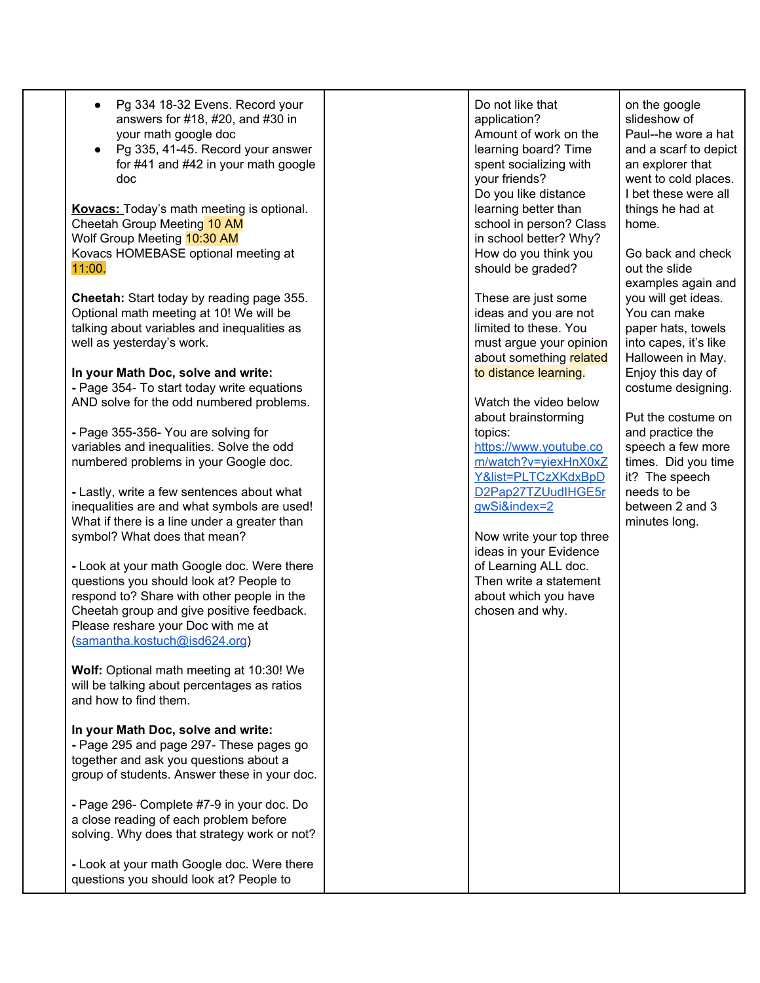| Pg 334 18-32 Evens. Record your             |
|---------------------------------------------|
| answers for $\#18$ , $\#20$ , and $\#30$ in |
| your math google doc                        |

Pg 335, 41-45. Record your answer for #41 and #42 in your math google doc

**Kovacs:** Today's math meeting is optional. Cheetah Group Meeting 10 AM Wolf Group Meeting 10:30 AM Kovacs HOMEBASE optional meeting at 11:00.

**Cheetah:** Start today by reading page 355. Optional math meeting at 10! We will be talking about variables and inequalities as well as yesterday's work.

**In your Math Doc, solve and write: -** Page 354- To start today write equations AND solve for the odd numbered problems.

**-** Page 355-356- You are solving for variables and inequalities. Solve the odd numbered problems in your Google doc.

**-** Lastly, write a few sentences about what inequalities are and what symbols are used! What if there is a line under a greater than symbol? What does that mean?

**-** Look at your math Google doc. Were there questions you should look at? People to respond to? Share with other people in the Cheetah group and give positive feedback. Please reshare your Doc with me at [\(samantha.kostuch@isd624.org](mailto:samantha.kostuch@isd624.org))

**Wolf:** Optional math meeting at 10:30! We will be talking about percentages as ratios and how to find them.

## **In your Math Doc, solve and write:**

**-** Page 295 and page 297- These pages go together and ask you questions about a group of students. Answer these in your doc.

**-** Page 296- Complete #7-9 in your doc. Do a close reading of each problem before solving. Why does that strategy work or not?

**-** Look at your math Google doc. Were there questions you should look at? People to

Do not like that application? Amount of work on the learning board? Time spent socializing with your friends? Do you like distance learning better than school in person? Class in school better? Why? How do you think you should be graded?

These are just some ideas and you are not limited to these. You must argue your opinion about something related to distance learning.

Watch the video below about brainstorming topics:

[https://www.youtube.co](https://www.youtube.com/watch?v=yiexHnX0xZY&list=PLTCzXKdxBpDD2Pap27TZUudIHGE5rgwSi&index=2) [m/watch?v=yiexHnX0xZ](https://www.youtube.com/watch?v=yiexHnX0xZY&list=PLTCzXKdxBpDD2Pap27TZUudIHGE5rgwSi&index=2) [Y&list=PLTCzXKdxBpD](https://www.youtube.com/watch?v=yiexHnX0xZY&list=PLTCzXKdxBpDD2Pap27TZUudIHGE5rgwSi&index=2) [D2Pap27TZUudIHGE5r](https://www.youtube.com/watch?v=yiexHnX0xZY&list=PLTCzXKdxBpDD2Pap27TZUudIHGE5rgwSi&index=2) [gwSi&index=2](https://www.youtube.com/watch?v=yiexHnX0xZY&list=PLTCzXKdxBpDD2Pap27TZUudIHGE5rgwSi&index=2)

Now write your top three ideas in your Evidence of Learning ALL doc. Then write a statement about which you have chosen and why.

on the google slideshow of Paul--he wore a hat and a scarf to depict an explorer that went to cold places. I bet these were all things he had at home.

Go back and check out the slide examples again and you will get ideas. You can make paper hats, towels into capes, it's like Halloween in May. Enjoy this day of costume designing.

Put the costume on and practice the speech a few more times. Did you time it? The speech needs to be between 2 and 3 minutes long.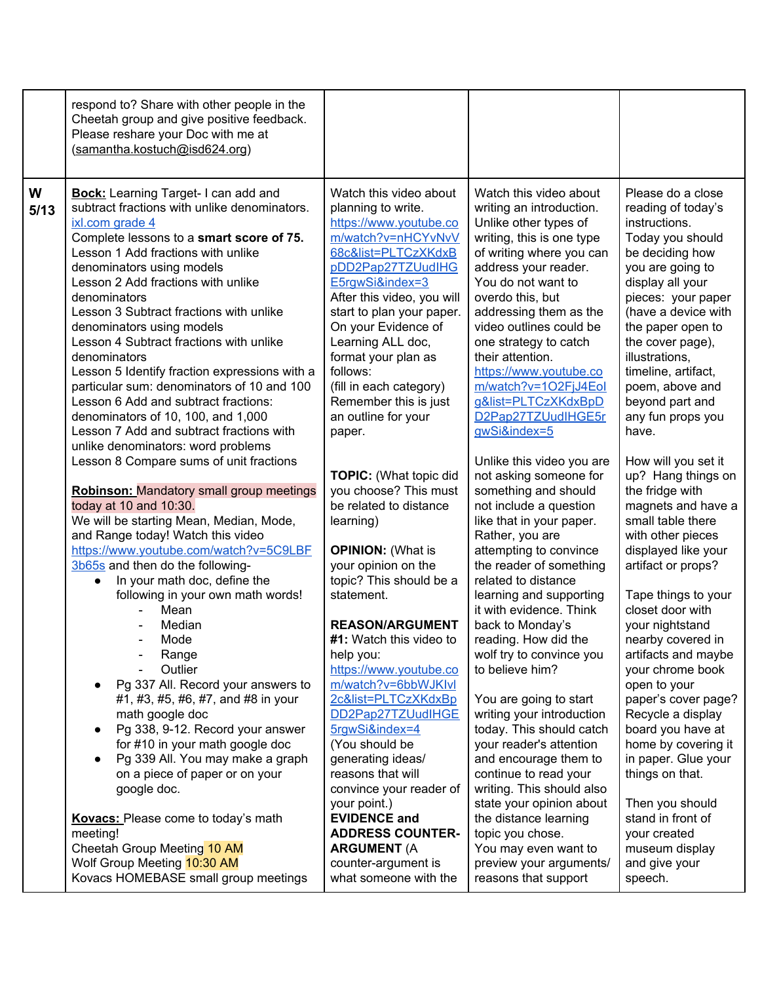|           | respond to? Share with other people in the<br>Cheetah group and give positive feedback.<br>Please reshare your Doc with me at<br>(samantha.kostuch@isd624.org)                                                                                                                                                                                                                                                                                                                                                                                                                                                                                                                                                                                                                                                                                                                                                                                                                                                                                                                                                                                                                                                                                                                                                                                                                                                                                                                                                                                                               |                                                                                                                                                                                                                                                                                                                                                                                                                                                                                                                                                                                                                                                                                                                                                                                                                                                                                                                                                                                                         |                                                                                                                                                                                                                                                                                                                                                                                                                                                                                                                                                                                                                                                                                                                                                                                                                                                                                                                                                                                                                                                                                                                                                               |                                                                                                                                                                                                                                                                                                                                                                                                                                                                                                                                                                                                                                                                                                                                                                                                                                                                                                               |
|-----------|------------------------------------------------------------------------------------------------------------------------------------------------------------------------------------------------------------------------------------------------------------------------------------------------------------------------------------------------------------------------------------------------------------------------------------------------------------------------------------------------------------------------------------------------------------------------------------------------------------------------------------------------------------------------------------------------------------------------------------------------------------------------------------------------------------------------------------------------------------------------------------------------------------------------------------------------------------------------------------------------------------------------------------------------------------------------------------------------------------------------------------------------------------------------------------------------------------------------------------------------------------------------------------------------------------------------------------------------------------------------------------------------------------------------------------------------------------------------------------------------------------------------------------------------------------------------------|---------------------------------------------------------------------------------------------------------------------------------------------------------------------------------------------------------------------------------------------------------------------------------------------------------------------------------------------------------------------------------------------------------------------------------------------------------------------------------------------------------------------------------------------------------------------------------------------------------------------------------------------------------------------------------------------------------------------------------------------------------------------------------------------------------------------------------------------------------------------------------------------------------------------------------------------------------------------------------------------------------|---------------------------------------------------------------------------------------------------------------------------------------------------------------------------------------------------------------------------------------------------------------------------------------------------------------------------------------------------------------------------------------------------------------------------------------------------------------------------------------------------------------------------------------------------------------------------------------------------------------------------------------------------------------------------------------------------------------------------------------------------------------------------------------------------------------------------------------------------------------------------------------------------------------------------------------------------------------------------------------------------------------------------------------------------------------------------------------------------------------------------------------------------------------|---------------------------------------------------------------------------------------------------------------------------------------------------------------------------------------------------------------------------------------------------------------------------------------------------------------------------------------------------------------------------------------------------------------------------------------------------------------------------------------------------------------------------------------------------------------------------------------------------------------------------------------------------------------------------------------------------------------------------------------------------------------------------------------------------------------------------------------------------------------------------------------------------------------|
| W<br>5/13 | <b>Bock:</b> Learning Target-I can add and<br>subtract fractions with unlike denominators.<br>ixl.com grade 4<br>Complete lessons to a smart score of 75.<br>Lesson 1 Add fractions with unlike<br>denominators using models<br>Lesson 2 Add fractions with unlike<br>denominators<br>Lesson 3 Subtract fractions with unlike<br>denominators using models<br>Lesson 4 Subtract fractions with unlike<br>denominators<br>Lesson 5 Identify fraction expressions with a<br>particular sum: denominators of 10 and 100<br>Lesson 6 Add and subtract fractions:<br>denominators of 10, 100, and 1,000<br>Lesson 7 Add and subtract fractions with<br>unlike denominators: word problems<br>Lesson 8 Compare sums of unit fractions<br><b>Robinson: Mandatory small group meetings</b><br>today at 10 and 10:30.<br>We will be starting Mean, Median, Mode,<br>and Range today! Watch this video<br>https://www.youtube.com/watch?v=5C9LBF<br>3b65s and then do the following-<br>In your math doc, define the<br>$\bullet$<br>following in your own math words!<br>Mean<br>Median<br>Mode<br>Range<br>Outlier<br>Pg 337 All. Record your answers to<br>$\bullet$<br>#1, #3, #5, #6, #7, and #8 in your<br>math google doc<br>Pg 338, 9-12. Record your answer<br>$\bullet$<br>for #10 in your math google doc<br>Pg 339 All. You may make a graph<br>$\bullet$<br>on a piece of paper or on your<br>google doc.<br><b>Kovacs:</b> Please come to today's math<br>meeting!<br>Cheetah Group Meeting 10 AM<br>Wolf Group Meeting 10:30 AM<br>Kovacs HOMEBASE small group meetings | Watch this video about<br>planning to write.<br>https://www.youtube.co<br>m/watch?v=nHCYvNvV<br>68c&list=PLTCzXKdxB<br>pDD2Pap27TZUudIHG<br>E5rgwSi&index=3<br>After this video, you will<br>start to plan your paper.<br>On your Evidence of<br>Learning ALL doc,<br>format your plan as<br>follows:<br>(fill in each category)<br>Remember this is just<br>an outline for your<br>paper.<br><b>TOPIC:</b> (What topic did<br>you choose? This must<br>be related to distance<br>learning)<br><b>OPINION: (What is</b><br>your opinion on the<br>topic? This should be a<br>statement.<br><b>REASON/ARGUMENT</b><br>#1: Watch this video to<br>help you:<br>https://www.youtube.co<br>m/watch?v=6bbWJKIvI<br>2c&list=PLTCzXKdxBp<br>DD2Pap27TZUudIHGE<br>5rgwSi&index=4<br>(You should be<br>generating ideas/<br>reasons that will<br>convince your reader of<br>your point.)<br><b>EVIDENCE and</b><br><b>ADDRESS COUNTER-</b><br><b>ARGUMENT (A</b><br>counter-argument is<br>what someone with the | Watch this video about<br>writing an introduction.<br>Unlike other types of<br>writing, this is one type<br>of writing where you can<br>address your reader.<br>You do not want to<br>overdo this, but<br>addressing them as the<br>video outlines could be<br>one strategy to catch<br>their attention.<br>https://www.youtube.co<br>m/watch?v=1O2FjJ4Eol<br>g&list=PLTCzXKdxBpD<br>D2Pap27TZUudIHGE5r<br>gwSi&index=5<br>Unlike this video you are<br>not asking someone for<br>something and should<br>not include a question<br>like that in your paper.<br>Rather, you are<br>attempting to convince<br>the reader of something<br>related to distance<br>learning and supporting<br>it with evidence. Think<br>back to Monday's<br>reading. How did the<br>wolf try to convince you<br>to believe him?<br>You are going to start<br>writing your introduction<br>today. This should catch<br>your reader's attention<br>and encourage them to<br>continue to read your<br>writing. This should also<br>state your opinion about<br>the distance learning<br>topic you chose.<br>You may even want to<br>preview your arguments/<br>reasons that support | Please do a close<br>reading of today's<br>instructions.<br>Today you should<br>be deciding how<br>you are going to<br>display all your<br>pieces: your paper<br>(have a device with<br>the paper open to<br>the cover page),<br>illustrations,<br>timeline, artifact,<br>poem, above and<br>beyond part and<br>any fun props you<br>have.<br>How will you set it<br>up? Hang things on<br>the fridge with<br>magnets and have a<br>small table there<br>with other pieces<br>displayed like your<br>artifact or props?<br>Tape things to your<br>closet door with<br>your nightstand<br>nearby covered in<br>artifacts and maybe<br>your chrome book<br>open to your<br>paper's cover page?<br>Recycle a display<br>board you have at<br>home by covering it<br>in paper. Glue your<br>things on that.<br>Then you should<br>stand in front of<br>your created<br>museum display<br>and give your<br>speech. |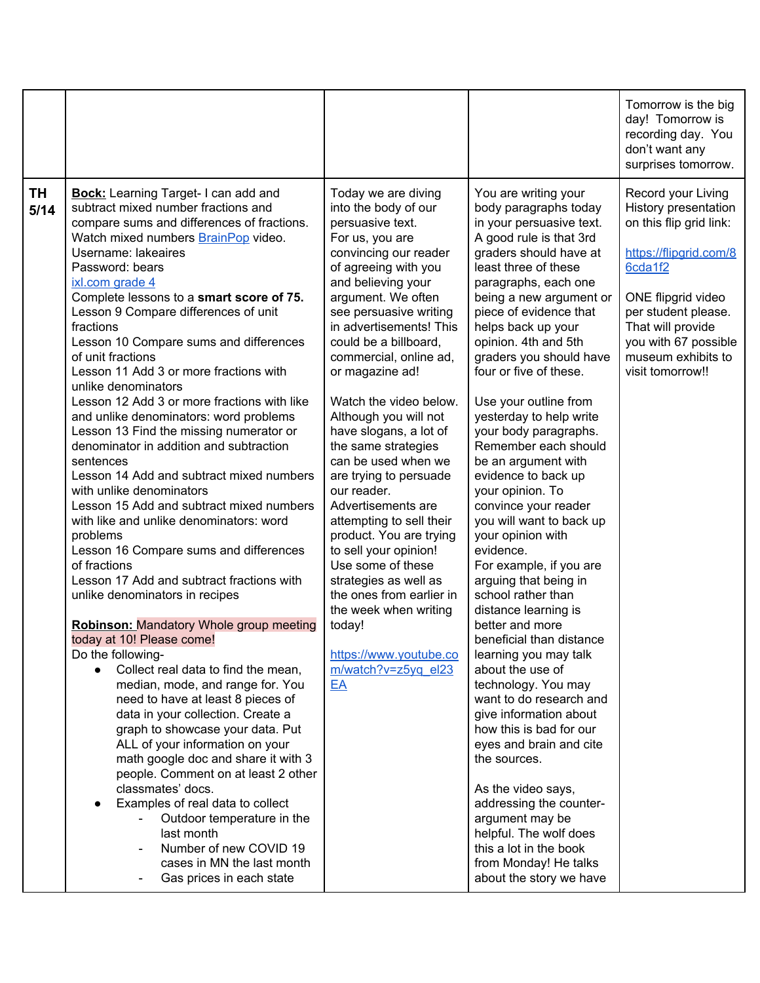|            |                                                                                                                                                                                                                                                                                                                                                                                                                                                                                                                                                                                                                                                                                                                                                                                                                                                                                                                                                                                                                                                                                                                                                                                                                                                                                                                                                                                                                                                                                                                                                                                                    |                                                                                                                                                                                                                                                                                                                                                                                                                                                                                                                                                                                                                                                                                                                                                          |                                                                                                                                                                                                                                                                                                                                                                                                                                                                                                                                                                                                                                                                                                                                                                                                                                                                                                                                                                                                                                                                                                                                 | Tomorrow is the big<br>day! Tomorrow is<br>recording day. You<br>don't want any<br>surprises tomorrow.                                                                                                                                         |
|------------|----------------------------------------------------------------------------------------------------------------------------------------------------------------------------------------------------------------------------------------------------------------------------------------------------------------------------------------------------------------------------------------------------------------------------------------------------------------------------------------------------------------------------------------------------------------------------------------------------------------------------------------------------------------------------------------------------------------------------------------------------------------------------------------------------------------------------------------------------------------------------------------------------------------------------------------------------------------------------------------------------------------------------------------------------------------------------------------------------------------------------------------------------------------------------------------------------------------------------------------------------------------------------------------------------------------------------------------------------------------------------------------------------------------------------------------------------------------------------------------------------------------------------------------------------------------------------------------------------|----------------------------------------------------------------------------------------------------------------------------------------------------------------------------------------------------------------------------------------------------------------------------------------------------------------------------------------------------------------------------------------------------------------------------------------------------------------------------------------------------------------------------------------------------------------------------------------------------------------------------------------------------------------------------------------------------------------------------------------------------------|---------------------------------------------------------------------------------------------------------------------------------------------------------------------------------------------------------------------------------------------------------------------------------------------------------------------------------------------------------------------------------------------------------------------------------------------------------------------------------------------------------------------------------------------------------------------------------------------------------------------------------------------------------------------------------------------------------------------------------------------------------------------------------------------------------------------------------------------------------------------------------------------------------------------------------------------------------------------------------------------------------------------------------------------------------------------------------------------------------------------------------|------------------------------------------------------------------------------------------------------------------------------------------------------------------------------------------------------------------------------------------------|
| TH<br>5/14 | <b>Bock:</b> Learning Target-I can add and<br>subtract mixed number fractions and<br>compare sums and differences of fractions.<br>Watch mixed numbers <b>BrainPop</b> video.<br>Username: lakeaires<br>Password: bears<br>ixl.com grade 4<br>Complete lessons to a smart score of 75.<br>Lesson 9 Compare differences of unit<br>fractions<br>Lesson 10 Compare sums and differences<br>of unit fractions<br>Lesson 11 Add 3 or more fractions with<br>unlike denominators<br>Lesson 12 Add 3 or more fractions with like<br>and unlike denominators: word problems<br>Lesson 13 Find the missing numerator or<br>denominator in addition and subtraction<br>sentences<br>Lesson 14 Add and subtract mixed numbers<br>with unlike denominators<br>Lesson 15 Add and subtract mixed numbers<br>with like and unlike denominators: word<br>problems<br>Lesson 16 Compare sums and differences<br>of fractions<br>Lesson 17 Add and subtract fractions with<br>unlike denominators in recipes<br><b>Robinson: Mandatory Whole group meeting</b><br>today at 10! Please come!<br>Do the following-<br>Collect real data to find the mean,<br>median, mode, and range for. You<br>need to have at least 8 pieces of<br>data in your collection. Create a<br>graph to showcase your data. Put<br>ALL of your information on your<br>math google doc and share it with 3<br>people. Comment on at least 2 other<br>classmates' docs.<br>Examples of real data to collect<br>Outdoor temperature in the<br>last month<br>Number of new COVID 19<br>cases in MN the last month<br>Gas prices in each state | Today we are diving<br>into the body of our<br>persuasive text.<br>For us, you are<br>convincing our reader<br>of agreeing with you<br>and believing your<br>argument. We often<br>see persuasive writing<br>in advertisements! This<br>could be a billboard,<br>commercial, online ad,<br>or magazine ad!<br>Watch the video below.<br>Although you will not<br>have slogans, a lot of<br>the same strategies<br>can be used when we<br>are trying to persuade<br>our reader.<br>Advertisements are<br>attempting to sell their<br>product. You are trying<br>to sell your opinion!<br>Use some of these<br>strategies as well as<br>the ones from earlier in<br>the week when writing<br>today!<br>https://www.youtube.co<br>m/watch?v=z5yq el23<br>EA | You are writing your<br>body paragraphs today<br>in your persuasive text.<br>A good rule is that 3rd<br>graders should have at<br>least three of these<br>paragraphs, each one<br>being a new argument or<br>piece of evidence that<br>helps back up your<br>opinion. 4th and 5th<br>graders you should have<br>four or five of these.<br>Use your outline from<br>yesterday to help write<br>your body paragraphs.<br>Remember each should<br>be an argument with<br>evidence to back up<br>your opinion. To<br>convince your reader<br>you will want to back up<br>your opinion with<br>evidence.<br>For example, if you are<br>arguing that being in<br>school rather than<br>distance learning is<br>better and more<br>beneficial than distance<br>learning you may talk<br>about the use of<br>technology. You may<br>want to do research and<br>give information about<br>how this is bad for our<br>eyes and brain and cite<br>the sources.<br>As the video says,<br>addressing the counter-<br>argument may be<br>helpful. The wolf does<br>this a lot in the book<br>from Monday! He talks<br>about the story we have | Record your Living<br>History presentation<br>on this flip grid link:<br>https://flipgrid.com/8<br>6cda1f2<br>ONE flipgrid video<br>per student please.<br>That will provide<br>you with 67 possible<br>museum exhibits to<br>visit tomorrow!! |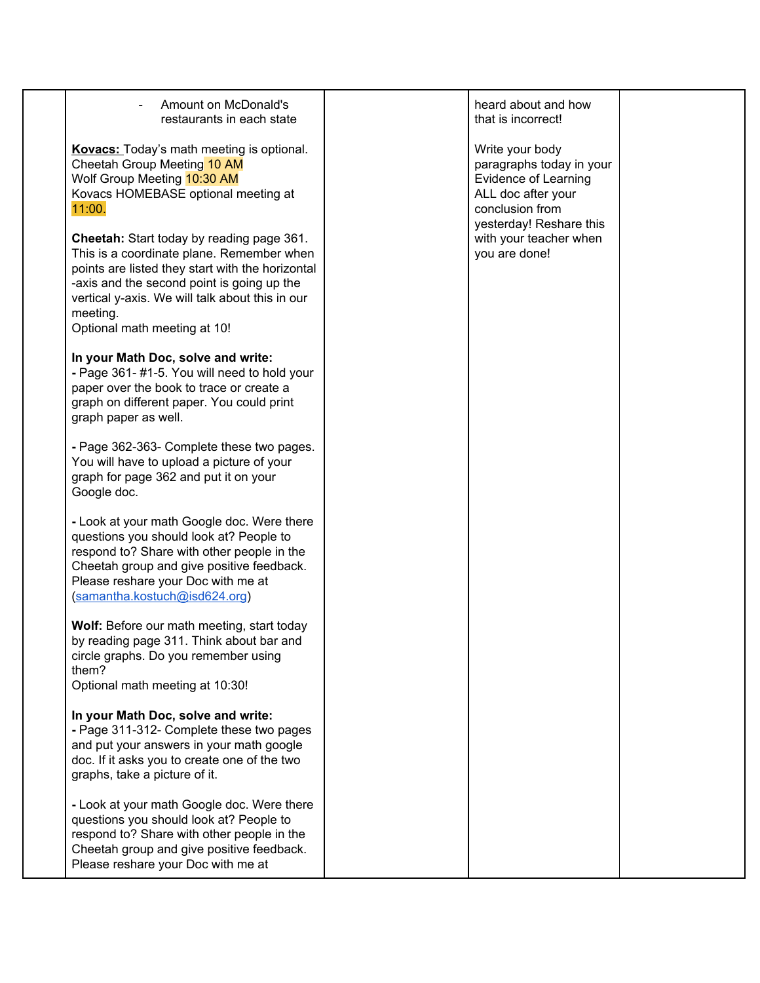Amount on McDonald's restaurants in each state **Kovacs:** Today's math meeting is optional. Cheetah Group Meeting 10 AM Wolf Group Meeting **10:30 AM** Kovacs HOMEBASE optional meeting at 11:00. **Cheetah:** Start today by reading page 361. This is a coordinate plane. Remember when points are listed they start with the horizontal -axis and the second point is going up the vertical y-axis. We will talk about this in our meeting. Optional math meeting at 10! **In your Math Doc, solve and write: -** Page 361- #1-5. You will need to hold your paper over the book to trace or create a graph on different paper. You could print graph paper as well. **-** Page 362-363- Complete these two pages. You will have to upload a picture of your graph for page 362 and put it on your Google doc. **-** Look at your math Google doc. Were there questions you should look at? People to respond to? Share with other people in the Cheetah group and give positive feedback. Please reshare your Doc with me at [\(samantha.kostuch@isd624.org](mailto:samantha.kostuch@isd624.org)) **Wolf:** Before our math meeting, start today by reading page 311. Think about bar and circle graphs. Do you remember using them? Optional math meeting at 10:30! **In your Math Doc, solve and write: -** Page 311-312- Complete these two pages and put your answers in your math google doc. If it asks you to create one of the two graphs, take a picture of it. **-** Look at your math Google doc. Were there questions you should look at? People to respond to? Share with other people in the Cheetah group and give positive feedback. Please reshare your Doc with me at heard about and how that is incorrect! Write your body paragraphs today in your Evidence of Learning ALL doc after your conclusion from yesterday! Reshare this with your teacher when you are done!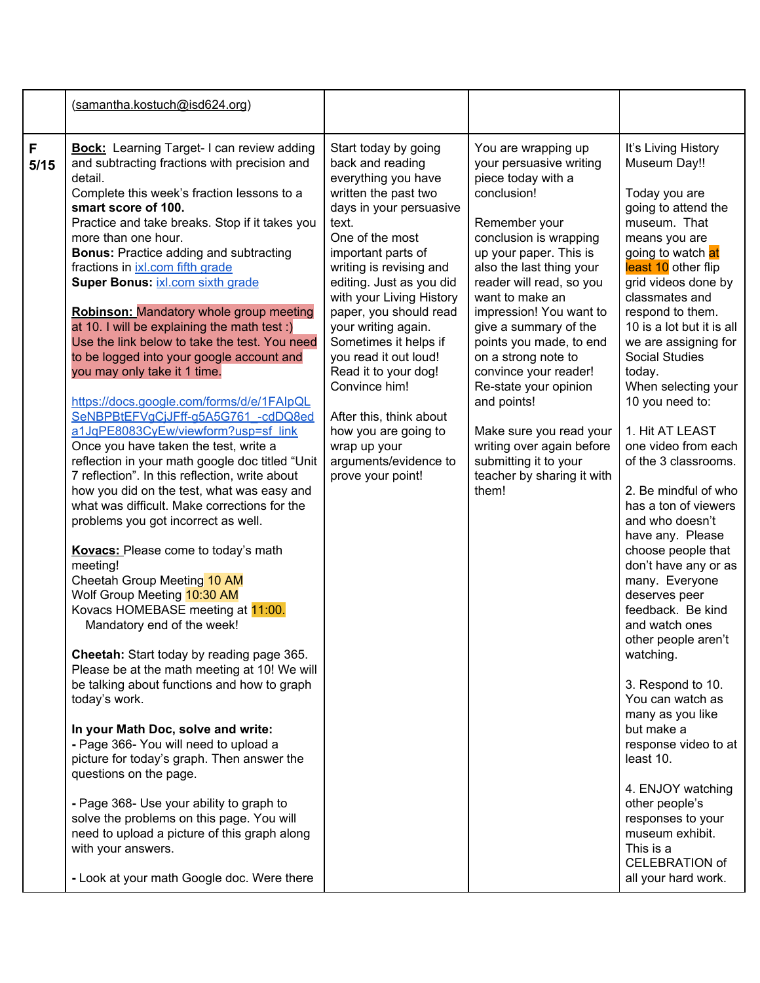|           | (samantha.kostuch@isd624.org)                                                                                                                                                                                                                                                                                                                                                                                                                                                                                                                                                                                                                                                                                                                                                                                                                                                                                                                                                                                                                                                                                                                                                                                                                                                                                                                                                                                                                                                                                                                                                                                                                                                                                                                         |                                                                                                                                                                                                                                                                                                                                                                                                                                                                                                                      |                                                                                                                                                                                                                                                                                                                                                                                                                                                                                                                                    |                                                                                                                                                                                                                                                                                                                                                                                                                                                                                                                                                                                                                                                                                                                                                                                                                                                                                                                                          |
|-----------|-------------------------------------------------------------------------------------------------------------------------------------------------------------------------------------------------------------------------------------------------------------------------------------------------------------------------------------------------------------------------------------------------------------------------------------------------------------------------------------------------------------------------------------------------------------------------------------------------------------------------------------------------------------------------------------------------------------------------------------------------------------------------------------------------------------------------------------------------------------------------------------------------------------------------------------------------------------------------------------------------------------------------------------------------------------------------------------------------------------------------------------------------------------------------------------------------------------------------------------------------------------------------------------------------------------------------------------------------------------------------------------------------------------------------------------------------------------------------------------------------------------------------------------------------------------------------------------------------------------------------------------------------------------------------------------------------------------------------------------------------------|----------------------------------------------------------------------------------------------------------------------------------------------------------------------------------------------------------------------------------------------------------------------------------------------------------------------------------------------------------------------------------------------------------------------------------------------------------------------------------------------------------------------|------------------------------------------------------------------------------------------------------------------------------------------------------------------------------------------------------------------------------------------------------------------------------------------------------------------------------------------------------------------------------------------------------------------------------------------------------------------------------------------------------------------------------------|------------------------------------------------------------------------------------------------------------------------------------------------------------------------------------------------------------------------------------------------------------------------------------------------------------------------------------------------------------------------------------------------------------------------------------------------------------------------------------------------------------------------------------------------------------------------------------------------------------------------------------------------------------------------------------------------------------------------------------------------------------------------------------------------------------------------------------------------------------------------------------------------------------------------------------------|
| F<br>5/15 | <b>Bock:</b> Learning Target-I can review adding<br>and subtracting fractions with precision and<br>detail.<br>Complete this week's fraction lessons to a<br>smart score of 100.<br>Practice and take breaks. Stop if it takes you<br>more than one hour.<br><b>Bonus: Practice adding and subtracting</b><br>fractions in ixl.com fifth grade<br>Super Bonus: ixl.com sixth grade<br><b>Robinson: Mandatory whole group meeting</b><br>at 10. I will be explaining the math test :)<br>Use the link below to take the test. You need<br>to be logged into your google account and<br>you may only take it 1 time.<br>https://docs.google.com/forms/d/e/1FAIpQL<br>SeNBPBtEFVgCjJFff-g5A5G761 -cdDQ8ed<br>a1JqPE8083CyEw/viewform?usp=sf_link<br>Once you have taken the test, write a<br>reflection in your math google doc titled "Unit<br>7 reflection". In this reflection, write about<br>how you did on the test, what was easy and<br>what was difficult. Make corrections for the<br>problems you got incorrect as well.<br>Kovacs: Please come to today's math<br>meeting!<br>Cheetah Group Meeting 10 AM<br>Wolf Group Meeting 10:30 AM<br>Kovacs HOMEBASE meeting at 11:00.<br>Mandatory end of the week!<br>Cheetah: Start today by reading page 365.<br>Please be at the math meeting at 10! We will<br>be talking about functions and how to graph<br>today's work.<br>In your Math Doc, solve and write:<br>- Page 366- You will need to upload a<br>picture for today's graph. Then answer the<br>questions on the page.<br>- Page 368- Use your ability to graph to<br>solve the problems on this page. You will<br>need to upload a picture of this graph along<br>with your answers.<br>- Look at your math Google doc. Were there | Start today by going<br>back and reading<br>everything you have<br>written the past two<br>days in your persuasive<br>text.<br>One of the most<br>important parts of<br>writing is revising and<br>editing. Just as you did<br>with your Living History<br>paper, you should read<br>your writing again.<br>Sometimes it helps if<br>you read it out loud!<br>Read it to your dog!<br>Convince him!<br>After this, think about<br>how you are going to<br>wrap up your<br>arguments/evidence to<br>prove your point! | You are wrapping up<br>your persuasive writing<br>piece today with a<br>conclusion!<br>Remember your<br>conclusion is wrapping<br>up your paper. This is<br>also the last thing your<br>reader will read, so you<br>want to make an<br>impression! You want to<br>give a summary of the<br>points you made, to end<br>on a strong note to<br>convince your reader!<br>Re-state your opinion<br>and points!<br>Make sure you read your<br>writing over again before<br>submitting it to your<br>teacher by sharing it with<br>them! | It's Living History<br>Museum Day!!<br>Today you are<br>going to attend the<br>museum. That<br>means you are<br>going to watch at<br>least 10 other flip<br>grid videos done by<br>classmates and<br>respond to them.<br>10 is a lot but it is all<br>we are assigning for<br><b>Social Studies</b><br>today.<br>When selecting your<br>10 you need to:<br>1. Hit AT LEAST<br>one video from each<br>of the 3 classrooms.<br>2. Be mindful of who<br>has a ton of viewers<br>and who doesn't<br>have any. Please<br>choose people that<br>don't have any or as<br>many. Everyone<br>deserves peer<br>feedback. Be kind<br>and watch ones<br>other people aren't<br>watching.<br>3. Respond to 10.<br>You can watch as<br>many as you like<br>but make a<br>response video to at<br>least 10.<br>4. ENJOY watching<br>other people's<br>responses to your<br>museum exhibit.<br>This is a<br><b>CELEBRATION of</b><br>all your hard work. |